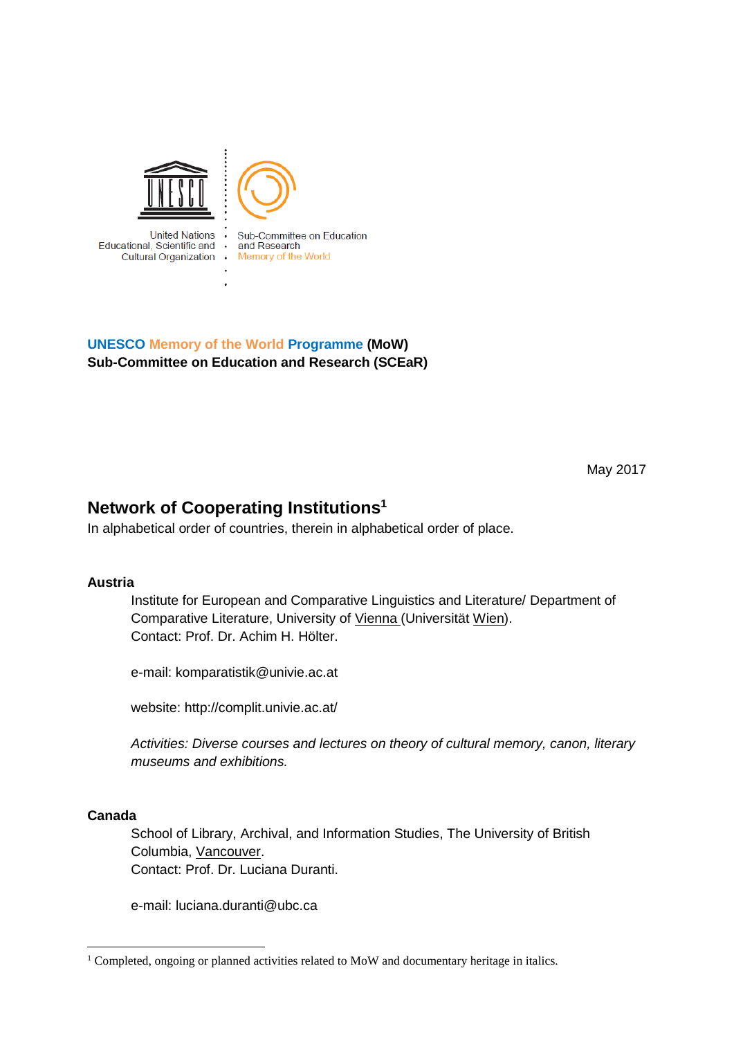

**UNESCO Memory of the World Programme (MoW) Sub-Committee on Education and Research (SCEaR)**

May 2017

# **Network of Cooperating Institutions<sup>1</sup>**

In alphabetical order of countries, therein in alphabetical order of place.

# **Austria**

Institute for European and Comparative Linguistics and Literature/ Department of Comparative Literature, University of Vienna (Universität Wien). Contact: Prof. Dr. Achim H. Hölter.

e-mail: komparatistik@univie.ac.at

website: http://complit.univie.ac.at/

*Activities: Diverse courses and lectures on theory of cultural memory, canon, literary museums and exhibitions.*

#### **Canada**

School of Library, Archival, and Information Studies, The University of British Columbia, Vancouver. Contact: Prof. Dr. Luciana Duranti.

e-mail: luciana.duranti@ubc.ca

 $1$  Completed, ongoing or planned activities related to MoW and documentary heritage in italics.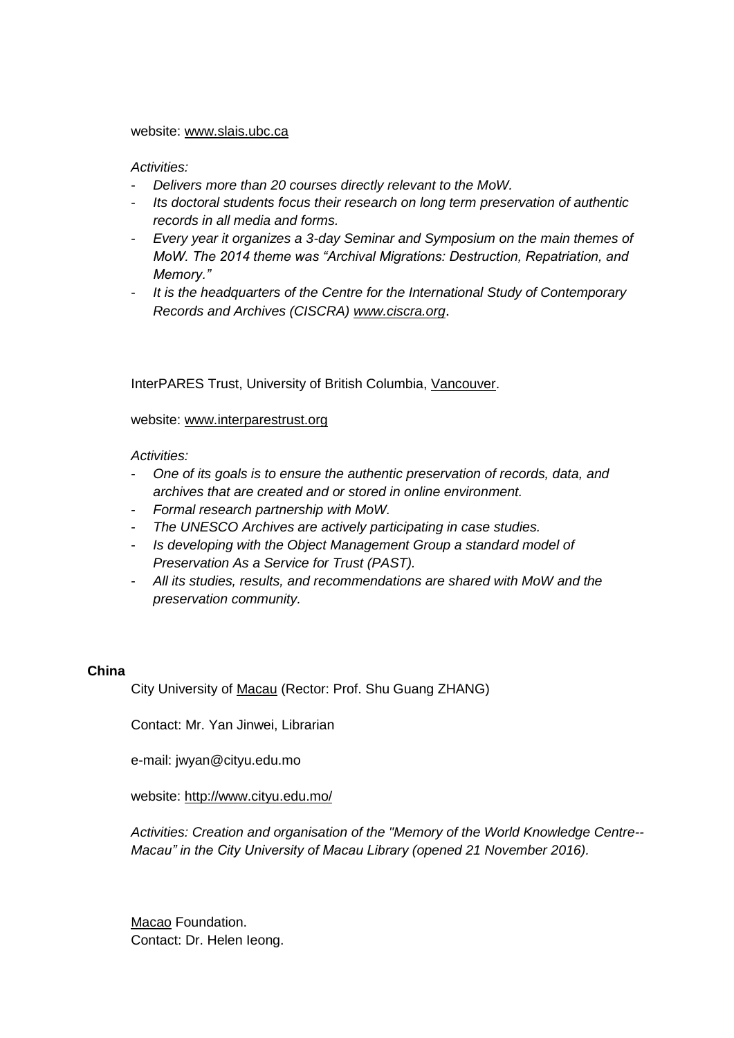#### website: [www.slais.ubc.ca](https://3c.gmx.net/mail/client/dereferrer?redirectUrl=http%3A%2F%2Fwww.slais.ubc.ca)

### *Activities:*

- *Delivers more than 20 courses directly relevant to the MoW.*
- *Its doctoral students focus their research on long term preservation of authentic records in all media and forms.*
- *Every year it organizes a 3-day Seminar and Symposium on the main themes of MoW. The 2014 theme was "Archival Migrations: Destruction, Repatriation, and Memory."*
- *It is the headquarters of the Centre for the International Study of Contemporary Records and Archives (CISCRA) [www.ciscra.org](https://3c.gmx.net/mail/client/dereferrer?redirectUrl=http%3A%2F%2Fwww.ciscra.org)*.

InterPARES Trust, University of British Columbia, Vancouver.

### website: [www.interparestrust.org](https://3c.gmx.net/mail/client/dereferrer?redirectUrl=http%3A%2F%2Fwww.interparestrust.org)

*Activities:*

- *One of its goals is to ensure the authentic preservation of records, data, and archives that are created and or stored in online environment.*
- *Formal research partnership with MoW.*
- *The UNESCO Archives are actively participating in case studies.*
- *Is developing with the Object Management Group a standard model of Preservation As a Service for Trust (PAST).*
- *All its studies, results, and recommendations are shared with MoW and the preservation community.*

#### **China**

City University of Macau (Rector: Prof. Shu Guang ZHANG)

Contact: Mr. Yan Jinwei, Librarian

e-mail: jwyan@cityu.edu.mo

website: [http://www.cityu.edu.mo/](https://deref-gmx.net/mail/client/dereferrer/?redirectUrl=http%3A%2F%2Fwww.cityu.edu.mo%2F)

*Activities: Creation and organisation of the "Memory of the World Knowledge Centre-- Macau" in the City University of Macau Library (opened 21 November 2016).* 

Macao Foundation. Contact: Dr. Helen Ieong.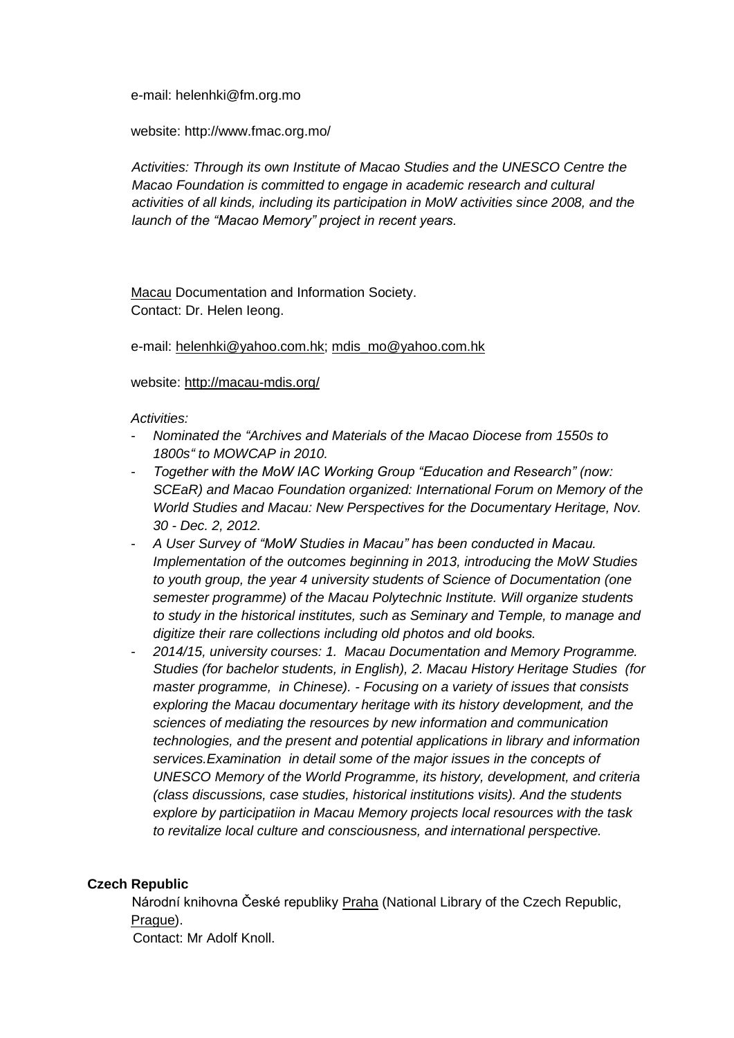e-mail: helenhki@fm.org.mo

website: http://www.fmac.org.mo/

*Activities: Through its own Institute of Macao Studies and the UNESCO Centre the Macao Foundation is committed to engage in academic research and cultural activities of all kinds, including its participation in MoW activities since 2008, and the launch of the "Macao Memory" project in recent years.* 

Macau Documentation and Information Society. Contact: Dr. Helen Ieong.

e-mail: [helenhki@yahoo.com.hk;](mailto:helenhki@yahoo.com.hk) [mdis\\_mo@yahoo.com.hk](mailto:mdis_mo@yahoo.com.hk)

website:<http://macau-mdis.org/>

*Activities:* 

- *Nominated the "Archives and Materials of the Macao Diocese from 1550s to 1800s" to MOWCAP in 2010.*
- *Together with the MoW IAC Working Group "Education and Research" (now: SCEaR) and Macao Foundation organized: International Forum on Memory of the World Studies and Macau: New Perspectives for the Documentary Heritage, Nov. 30 - Dec. 2, 2012.*
- *A User Survey of "MoW Studies in Macau" has been conducted in Macau. Implementation of the outcomes beginning in 2013, introducing the MoW Studies to youth group, the year 4 university students of Science of Documentation (one semester programme) of the Macau Polytechnic Institute. Will organize students to study in the historical institutes, such as Seminary and Temple, to manage and digitize their rare collections including old photos and old books.*
- *2014/15, university courses: 1. Macau Documentation and Memory Programme. Studies (for bachelor students, in English), 2. Macau History Heritage Studies (for master programme, in Chinese). - Focusing on a variety of issues that consists exploring the Macau documentary heritage with its history development, and the sciences of mediating the resources by new information and communication technologies, and the present and potential applications in library and information services.Examination in detail some of the major issues in the concepts of UNESCO Memory of the World Programme, its history, development, and criteria (class discussions, case studies, historical institutions visits). And the students explore by participatiion in Macau Memory projects local resources with the task to revitalize local culture and consciousness, and international perspective.*

# **Czech Republic**

Národní knihovna České republiky Praha (National Library of the Czech Republic, Prague).

Contact: Mr Adolf Knoll.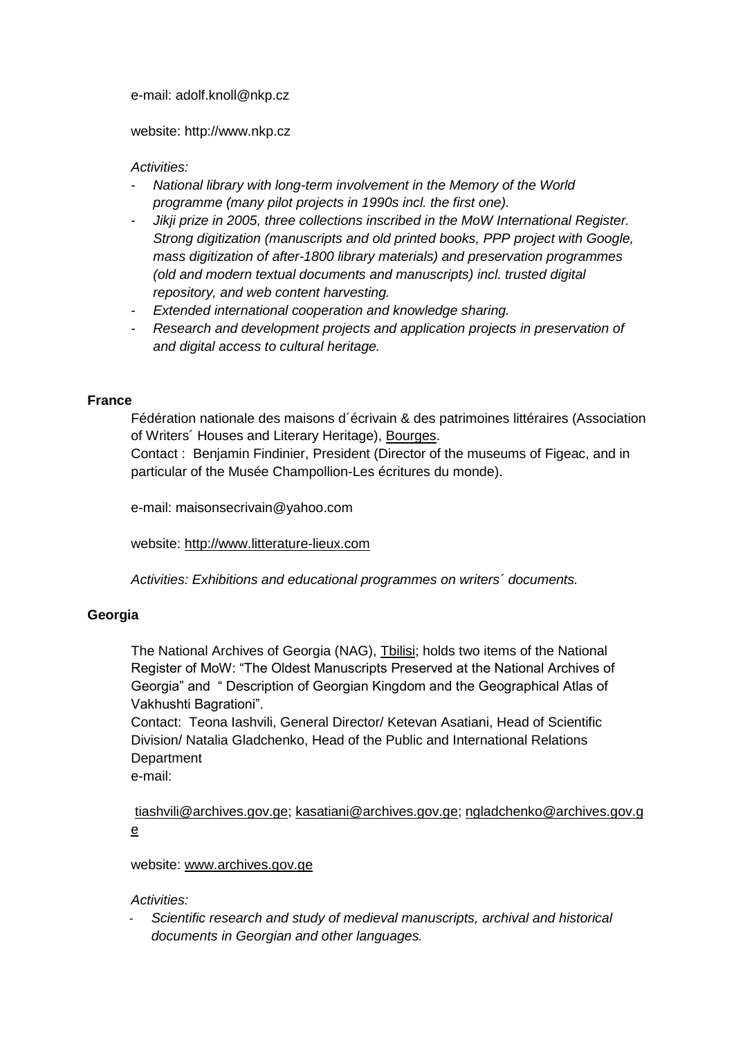e-mail: adolf.knoll@nkp.cz

website: http://www.nkp.cz

# *Activities:*

- *National library with long-term involvement in the Memory of the World programme (many pilot projects in 1990s incl. the first one).*
- *Jikji prize in 2005, three collections inscribed in the MoW International Register. Strong digitization (manuscripts and old printed books, PPP project with Google, mass digitization of after-1800 library materials) and preservation programmes (old and modern textual documents and manuscripts) incl. trusted digital repository, and web content harvesting.*
- *Extended international cooperation and knowledge sharing.*
- *Research and development projects and application projects in preservation of and digital access to cultural heritage.*

# **France**

Fédération nationale des maisons d´écrivain & des patrimoines littéraires (Association of Writers´ Houses and Literary Heritage), Bourges.

Contact : Benjamin Findinier, President (Director of the museums of Figeac, and in particular of the Musée Champollion-Les écritures du monde).

e-mail: maisonsecrivain@yahoo.com

website: [http://www.litterature-lieux.com](http://www.litterature-lieux.com/)

*Activities: Exhibitions and educational programmes on writers´ documents.*

# **Georgia**

The National Archives of Georgia (NAG), Tbilisi; holds two items of the National Register of MoW: "The Oldest Manuscripts Preserved at the National Archives of Georgia" and " Description of Georgian Kingdom and the Geographical Atlas of Vakhushti Bagrationi".

Contact: Teona Iashvili, General Director/ Ketevan Asatiani, Head of Scientific Division/ Natalia Gladchenko, Head of the Public and International Relations **Department** 

e-mail:

[tiashvili@archives.gov.ge;](https://3c.gmx.net/mail/client/mail/mailto;jsessionid=B4B5650A37CED1F46371E06A27D13055-n4.bs77b?to=tiashvili%40archives.gov.ge) [kasatiani@archives.gov.ge;](https://3c.gmx.net/mail/client/mail/mailto;jsessionid=B4B5650A37CED1F46371E06A27D13055-n4.bs77b?to=kasatiani%40archives.gov.ge) [ngladchenko@archives.gov.g](https://3c.gmx.net/mail/client/mail/mailto;jsessionid=B4B5650A37CED1F46371E06A27D13055-n4.bs77b?to=ngladchenko%40archives.gov.ge) [e](https://3c.gmx.net/mail/client/mail/mailto;jsessionid=B4B5650A37CED1F46371E06A27D13055-n4.bs77b?to=ngladchenko%40archives.gov.ge)

# website: [www.archives.gov.ge](https://deref-gmx.net/mail/client/dereferrer/?redirectUrl=http%3A%2F%2Fwww.archives.gov.ge)

# *Activities:*

- *Scientific research and study of medieval manuscripts, archival and historical documents in Georgian and other languages.*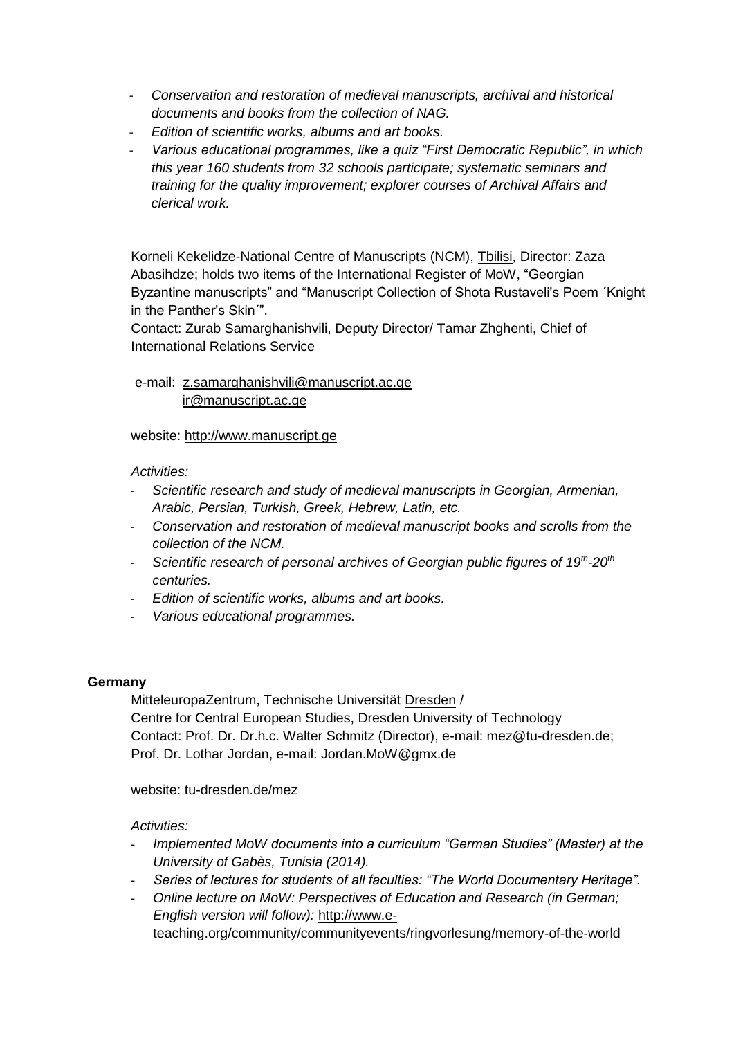- *Conservation and restoration of medieval manuscripts, archival and historical documents and books from the collection of NAG.*
- *Edition of scientific works, albums and art books.*
- *Various educational programmes, like a quiz "First Democratic Republic", in which this year 160 students from 32 schools participate; systematic seminars and training for the quality improvement; explorer courses of Archival Affairs and clerical work.*

Korneli Kekelidze-National Centre of Manuscripts (NCM), Tbilisi, Director: Zaza Abasihdze; holds two items of the International Register of MoW, "Georgian Byzantine manuscripts" and "Manuscript Collection of Shota Rustaveli's Poem ´Knight in the Panther's Skin´".

Contact: Zurab Samarghanishvili, Deputy Director/ Tamar Zhghenti, Chief of International Relations Service

# e-mail: [z.samarghanishvili@manuscript.ac.ge](mailto:z.samarghanishvili@manuscript.ac.ge) [ir@manuscript.ac.ge](mailto:ir@manuscript.ac.ge)

# website: [http://www.manuscript.ge](http://www.manuscript.ge/)

# *Activities:*

- *Scientific research and study of medieval manuscripts in Georgian, Armenian, Arabic, Persian, Turkish, Greek, Hebrew, Latin, etc.*
- *Conservation and restoration of medieval manuscript books and scrolls from the collection of the NCM.*
- *Scientific research of personal archives of Georgian public figures of 19th -20th centuries.*
- *Edition of scientific works, albums and art books.*
- *Various educational programmes.*

# **Germany**

MitteleuropaZentrum, Technische Universität Dresden / Centre for Central European Studies, Dresden University of Technology Contact: Prof. Dr. Dr.h.c. Walter Schmitz (Director), e-mail: [mez@tu-dresden.de;](mailto:mez@tu-dresden.de) Prof. Dr. Lothar Jordan, e-mail: Jordan.MoW@gmx.de

website: tu-dresden.de/mez

- *Implemented MoW documents into a curriculum "German Studies" (Master) at the University of Gabès, Tunisia (2014).*
- *Series of lectures for students of all faculties: "The World Documentary Heritage".*
- *Online lecture on MoW: Perspectives of Education and Research (in German; English version will follow):* [http://www.e](https://3c.gmx.net/mail/client/dereferrer?redirectUrl=https%3A%2F%2F3c.gmx.net%2Fmail%2Fclient%2Fdereferrer%3FredirectUrl%3Dhttp%253A%252F%252Fwww.e-teaching.org%252Fcommunity%252Fcommunityevents%252Fringvorlesung%252Fmemory-of-the-world)[teaching.org/community/communityevents/ringvorlesung/memory-of-the-world](https://3c.gmx.net/mail/client/dereferrer?redirectUrl=https%3A%2F%2F3c.gmx.net%2Fmail%2Fclient%2Fdereferrer%3FredirectUrl%3Dhttp%253A%252F%252Fwww.e-teaching.org%252Fcommunity%252Fcommunityevents%252Fringvorlesung%252Fmemory-of-the-world)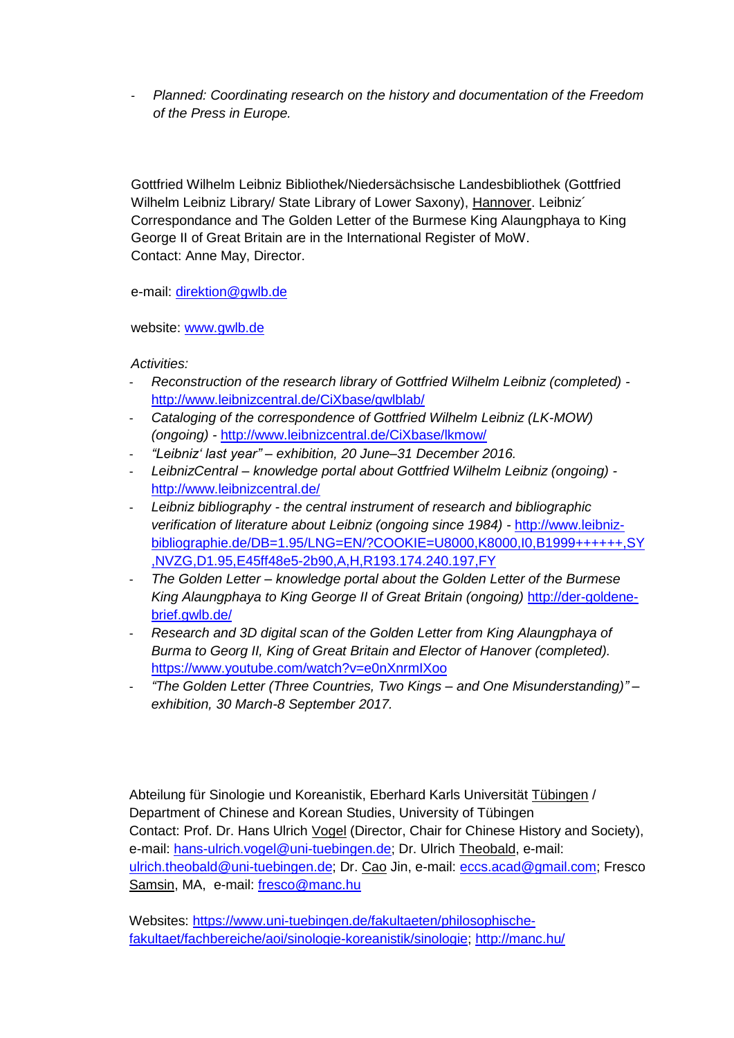- *Planned: Coordinating research on the history and documentation of the Freedom of the Press in Europe.*

Gottfried Wilhelm Leibniz Bibliothek/Niedersächsische Landesbibliothek (Gottfried Wilhelm Leibniz Library/ State Library of Lower Saxony), Hannover. Leibniz<sup>'</sup> Correspondance and The Golden Letter of the Burmese King Alaungphaya to King George II of Great Britain are in the International Register of MoW. Contact: Anne May, Director.

e-mail: [direktion@gwlb.de](mailto:direktion@gwlb.de)

website: [www.gwlb.de](http://www.gwlb.de/)

*Activities:* 

- *Reconstruction of the research library of Gottfried Wilhelm Leibniz (completed)*  <http://www.leibnizcentral.de/CiXbase/gwlblab/>
- *Cataloging of the correspondence of Gottfried Wilhelm Leibniz (LK-MOW) (ongoing) -* <http://www.leibnizcentral.de/CiXbase/lkmow/>
- *"Leibniz' last year" – exhibition, 20 June–31 December 2016.*
- *LeibnizCentral – knowledge portal about Gottfried Wilhelm Leibniz (ongoing)*  <http://www.leibnizcentral.de/>
- *Leibniz bibliography - the central instrument of research and bibliographic verification of literature about Leibniz (ongoing since 1984) -* [http://www.leibniz](http://www.leibniz-bibliographie.de/DB=1.95/LNG=EN/?COOKIE=U8000,K8000,I0,B1999++++++,SY,NVZG,D1.95,E45ff48e5-2b90,A,H,R193.174.240.197,FY)[bibliographie.de/DB=1.95/LNG=EN/?COOKIE=U8000,K8000,I0,B1999++++++,SY](http://www.leibniz-bibliographie.de/DB=1.95/LNG=EN/?COOKIE=U8000,K8000,I0,B1999++++++,SY,NVZG,D1.95,E45ff48e5-2b90,A,H,R193.174.240.197,FY) [,NVZG,D1.95,E45ff48e5-2b90,A,H,R193.174.240.197,FY](http://www.leibniz-bibliographie.de/DB=1.95/LNG=EN/?COOKIE=U8000,K8000,I0,B1999++++++,SY,NVZG,D1.95,E45ff48e5-2b90,A,H,R193.174.240.197,FY)
- *The Golden Letter – knowledge portal about the Golden Letter of the Burmese King Alaungphaya to King George II of Great Britain (ongoing)* [http://der-goldene](http://der-goldene-brief.gwlb.de/)[brief.gwlb.de/](http://der-goldene-brief.gwlb.de/)
- *Research and 3D digital scan of the Golden Letter from King Alaungphaya of Burma to Georg II, King of Great Britain and Elector of Hanover (completed).* <https://www.youtube.com/watch?v=e0nXnrmIXoo>
- *"The Golden Letter (Three Countries, Two Kings – and One Misunderstanding)" – exhibition, 30 March-8 September 2017.*

Abteilung für Sinologie und Koreanistik, Eberhard Karls Universität Tübingen / Department of Chinese and Korean Studies, University of Tübingen Contact: Prof. Dr. Hans Ulrich Vogel (Director, Chair for Chinese History and Society), e-mail: [hans-ulrich.vogel@uni-tuebingen.de;](mailto:hans-ulrich.vogel@uni-tuebingen.de) Dr. Ulrich Theobald, e-mail: [ulrich.theobald@uni-tuebingen.de;](mailto:ulrich.theobald@uni-tuebingen.de) Dr. Cao Jin, e-mail: [eccs.acad@gmail.com;](javascript:void(window.open() Fresco Samsin, MA, e-mail: [fresco@manc.hu](mailto:fresco@manc.hu)

Websites: [https://www.uni-tuebingen.de/fakultaeten/philosophische](https://www.uni-tuebingen.de/fakultaeten/philosophische-fakultaet/fachbereiche/aoi/sinologie-koreanistik/sinologie)[fakultaet/fachbereiche/aoi/sinologie-koreanistik/sinologie;](https://www.uni-tuebingen.de/fakultaeten/philosophische-fakultaet/fachbereiche/aoi/sinologie-koreanistik/sinologie)<http://manc.hu/>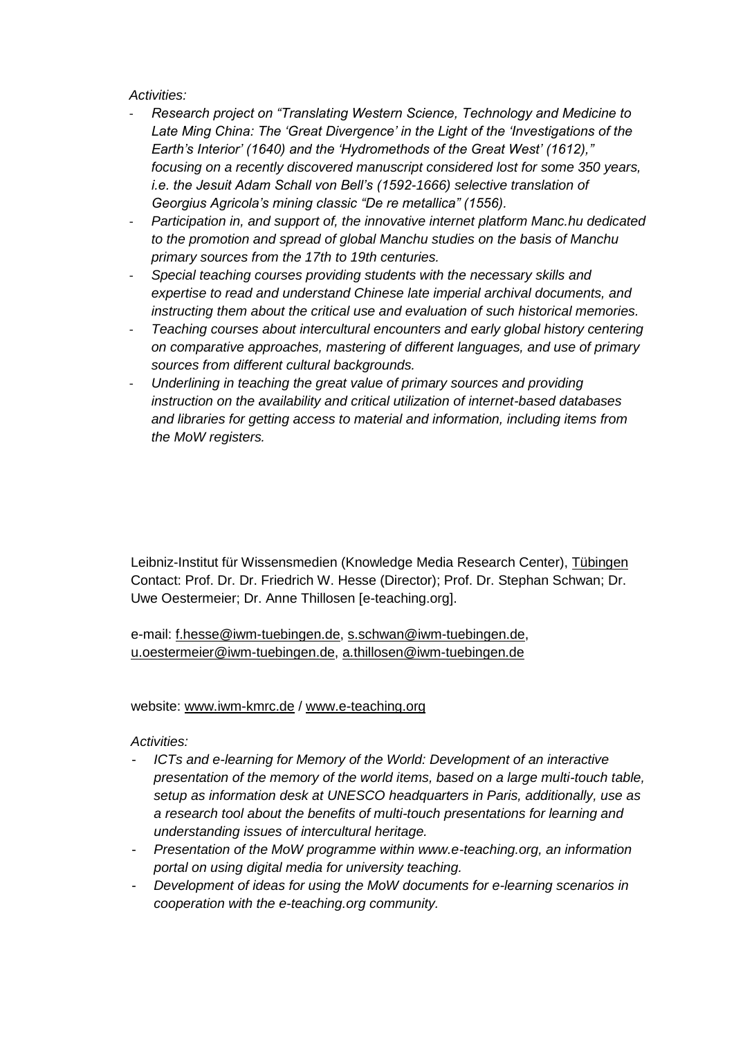# *Activities:*

- *Research project on "Translating Western Science, Technology and Medicine to Late Ming China: The 'Great Divergence' in the Light of the 'Investigations of the Earth's Interior' (1640) and the 'Hydromethods of the Great West' (1612)," focusing on a recently discovered manuscript considered lost for some 350 years, i.e. the Jesuit Adam Schall von Bell's (1592-1666) selective translation of Georgius Agricola's mining classic "De re metallica" (1556).*
- *Participation in, and support of, the innovative internet platform Manc.hu dedicated to the promotion and spread of global Manchu studies on the basis of Manchu primary sources from the 17th to 19th centuries.*
- *Special teaching courses providing students with the necessary skills and expertise to read and understand Chinese late imperial archival documents, and instructing them about the critical use and evaluation of such historical memories.*
- *Teaching courses about intercultural encounters and early global history centering on comparative approaches, mastering of different languages, and use of primary sources from different cultural backgrounds.*
- *Underlining in teaching the great value of primary sources and providing instruction on the availability and critical utilization of internet-based databases and libraries for getting access to material and information, including items from the MoW registers.*

Leibniz-Institut für Wissensmedien (Knowledge Media Research Center), Tübingen Contact: Prof. Dr. Dr. Friedrich W. Hesse (Director); Prof. Dr. Stephan Schwan; Dr. Uwe Oestermeier; Dr. Anne Thillosen [e-teaching.org].

e-mail: [f.hesse@iwm-tuebingen.de,](mailto:f.hesse@iwm-tuebingen.de) [s.schwan@iwm-tuebingen.de,](mailto:s.schwan@iwm-tuebingen.de) [u.oestermeier@iwm-tuebingen.de,](mailto:u.oestermeier@iwm-tuebingen.de) [a.thillosen@iwm-tuebingen.de](mailto:a.thillosen@iwm-tuebingen.de) 

# website: [www.iwm-kmrc.de](http://www.iwm-kmrc.de/) / [www.e-teaching.org](http://www.e-teaching.org/)

- *ICTs and e-learning for Memory of the World: Development of an interactive presentation of the memory of the world items, based on a large multi-touch table, setup as information desk at UNESCO headquarters in Paris, additionally, use as a research tool about the benefits of multi-touch presentations for learning and understanding issues of intercultural heritage.*
- *Presentation of the MoW programme within www.e-teaching.org, an information portal on using digital media for university teaching.*
- *Development of ideas for using the MoW documents for e-learning scenarios in cooperation with the e-teaching.org community.*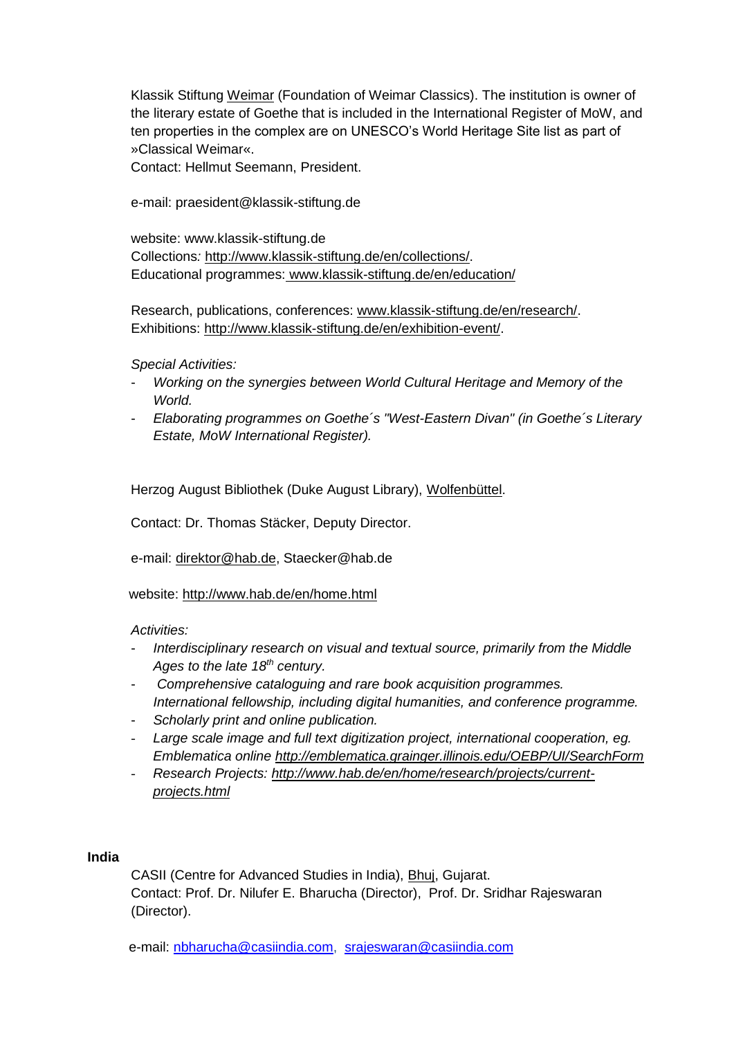Klassik Stiftung Weimar (Foundation of Weimar Classics). The institution is owner of the literary estate of Goethe that is included in the International Register of MoW, and ten properties in the complex are on UNESCO's World Heritage Site list as part of »Classical Weimar«.

Contact: Hellmut Seemann, President.

e-mail: praesident@klassik-stiftung.de

website: www.klassik-stiftung.de Collections*:* [http://www.klassik-stiftung.de/en/collections/.](http://www.klassik-stiftung.de/en/collections/) Educational programmes: www.klassik-stiftung.de/en/education/

Research, publications, conferences: [www.klassik-stiftung.de/en/research/.](http://www.klassik-stiftung.de/en/research/) Exhibitions: [http://www.klassik-stiftung.de/en/exhibition-event/.](http://www.klassik-stiftung.de/en/exhibition-event/)

# *Special Activities:*

- *Working on the synergies between World Cultural Heritage and Memory of the World.*
- *Elaborating programmes on Goethe´s "West-Eastern Divan" (in Goethe´s Literary Estate, MoW International Register).*

Herzog August Bibliothek (Duke August Library), Wolfenbüttel.

Contact: Dr. Thomas Stäcker, Deputy Director.

e-mail: [direktor@hab.de,](https://3c.gmx.net/mail/client/mail/mailto;jsessionid=D375F5BAA48B002E045BF40B3018E8AC-n3.bs35b?to=direktor%40hab.de&selection=tfol11c41963091811ec) Staecker@hab.de

website: <http://www.hab.de/en/home.html>

# *Activities:*

- *Interdisciplinary research on visual and textual source, primarily from the Middle Ages to the late 18th century.*
- *Comprehensive cataloguing and rare book acquisition programmes. International fellowship, including digital humanities, and conference programme.*
- *Scholarly print and online publication.*
- *Large scale image and full text digitization project, international cooperation, eg. Emblematica online<http://emblematica.grainger.illinois.edu/OEBP/UI/SearchForm>*
- *Research Projects: [http://www.hab.de/en/home/research/projects/current](http://www.hab.de/en/home/research/projects/current-projects.html)[projects.html](http://www.hab.de/en/home/research/projects/current-projects.html)*

# **India**

CASII (Centre for Advanced Studies in India), Bhuj, Gujarat. Contact: Prof. Dr. Nilufer E. Bharucha (Director), Prof. Dr. Sridhar Rajeswaran (Director).

e-mail: [nbharucha@casiindia.com,](mailto:nbharucha@casiindia.com) [srajeswaran@casiindia.com](mailto:srajeswaran@casiindia.com)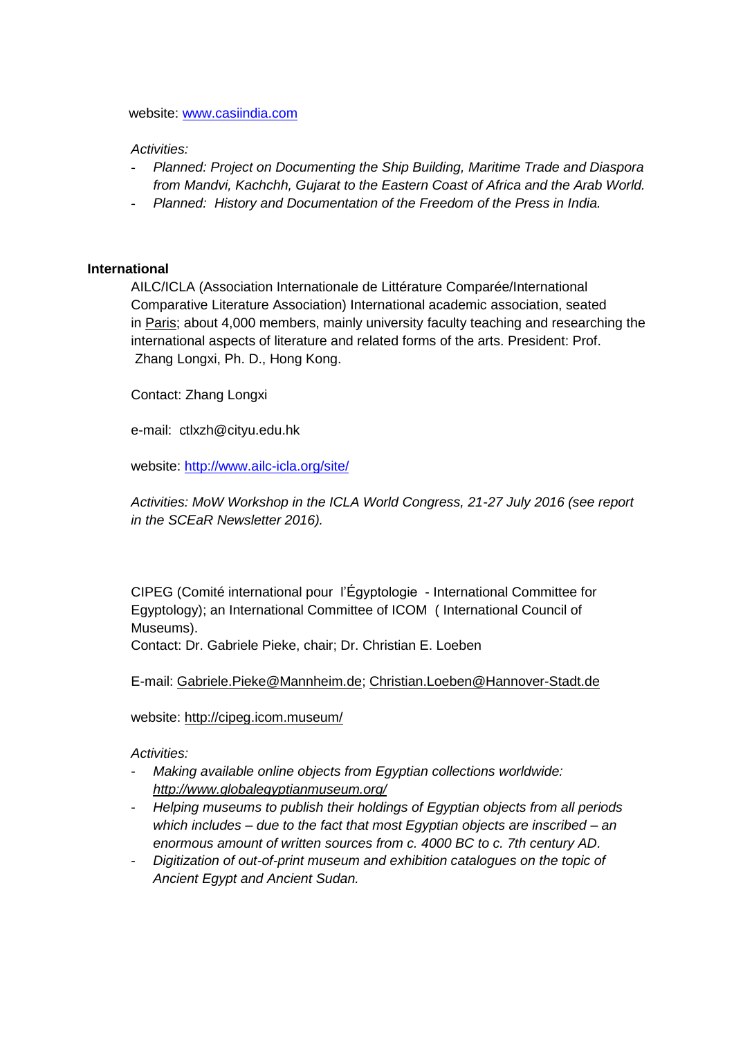#### website: [www.casiindia.com](http://www.casiindia.com/)

### *Activities:*

- *Planned: Project on Documenting the Ship Building, Maritime Trade and Diaspora from Mandvi, Kachchh, Gujarat to the Eastern Coast of Africa and the Arab World.*
- *Planned: History and Documentation of the Freedom of the Press in India.*

### **International**

AILC/ICLA (Association Internationale de Littérature Comparée/International Comparative Literature Association) International academic association, seated in Paris; about 4,000 members, mainly university faculty teaching and researching the international aspects of literature and related forms of the arts. President: Prof. Zhang Longxi, Ph. D., Hong Kong.

Contact: Zhang Longxi

e-mail: ctlxzh@cityu.edu.hk

website: [http://www.ailc-icla.org/site/](https://deref-gmx.net/mail/client/IP3p1WP9JLc/dereferrer/?redirectUrl=http%3A%2F%2Fwww.ailc-icla.org%2Fsite%2F)

*Activities: MoW Workshop in the ICLA World Congress, 21-27 July 2016 (see report in the SCEaR Newsletter 2016).*

CIPEG (Comité international pour l'Égyptologie - International Committee for Egyptology); an International Committee of ICOM ( International Council of Museums).

Contact: Dr. Gabriele Pieke, chair; Dr. Christian E. Loeben

E-mail: [Gabriele.Pieke@Mannheim.de;](mailto:Gabriele.Pieke@Mannheim.de) [Christian.Loeben@Hannover-Stadt.de](mailto:Christian.Loeben@Hannover-Stadt.de)

website:<http://cipeg.icom.museum/>

- *Making available online objects from Egyptian collections worldwide: <http://www.globalegyptianmuseum.org/>*
- *Helping museums to publish their holdings of Egyptian objects from all periods which includes – due to the fact that most Egyptian objects are inscribed – an enormous amount of written sources from c. 4000 BC to c. 7th century AD.*
- *Digitization of out-of-print museum and exhibition catalogues on the topic of Ancient Egypt and Ancient Sudan.*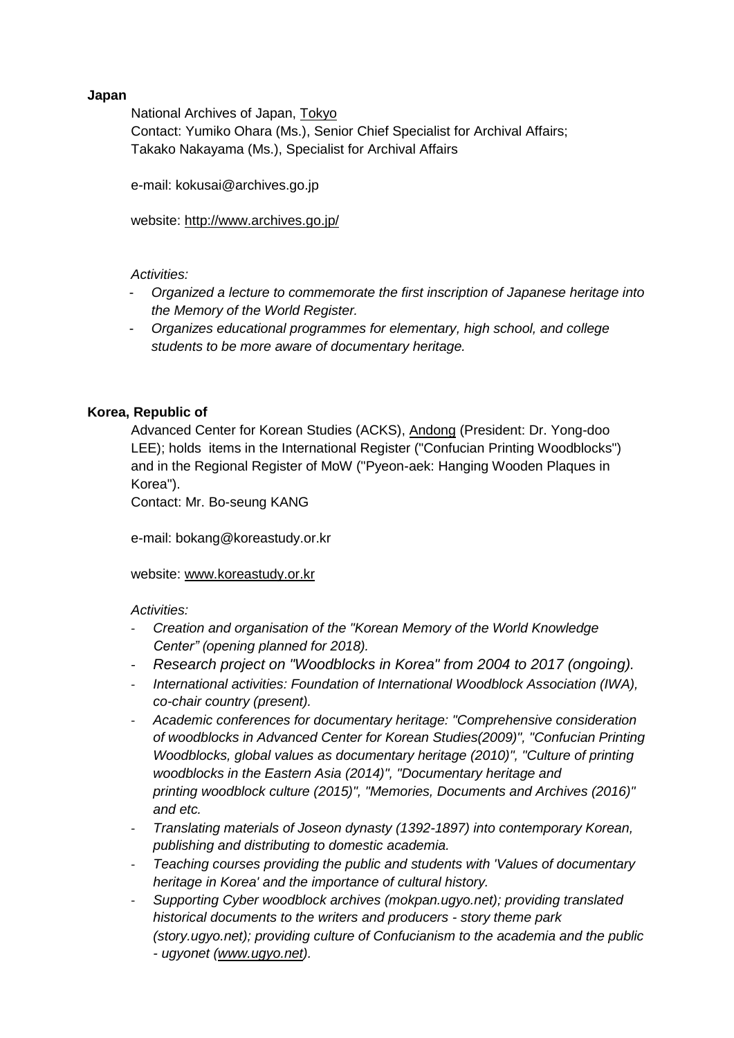# **Japan**

National Archives of Japan, Tokyo Contact: Yumiko Ohara (Ms.), Senior Chief Specialist for Archival Affairs; Takako Nakayama (Ms.), Specialist for Archival Affairs

e-mail: kokusai@archives.go.jp

website: [http://www.archives.go.jp/](https://deref-gmx.net/mail/client/dereferrer/?redirectUrl=http%3A%2F%2Fwww.archives.go.jp%2F)

# *Activities:*

- *Organized a lecture to commemorate the first inscription of Japanese heritage into the Memory of the World Register.*
- *Organizes educational programmes for elementary, high school, and college students to be more aware of documentary heritage.*

# **Korea, Republic of**

Advanced Center for Korean Studies (ACKS), Andong (President: Dr. Yong-doo LEE); holds items in the International Register ("Confucian Printing Woodblocks") and in the Regional Register of MoW ("Pyeon-aek: Hanging Wooden Plaques in Korea").

Contact: Mr. Bo-seung KANG

e-mail: bokang@koreastudy.or.kr

# website: [www.koreastudy.or.kr](https://deref-gmx.net/mail/client/jMkSx_VvQPg/dereferrer/?redirectUrl=http%3A%2F%2Fwww.koreastudy.or.kr)

- *Creation and organisation of the "Korean Memory of the World Knowledge Center" (opening planned for 2018).*
- *Research project on "Woodblocks in Korea" from 2004 to 2017 (ongoing).*
- *International activities: Foundation of International Woodblock Association (IWA), co-chair country (present).*
- *Academic conferences for documentary heritage: "Comprehensive consideration of woodblocks in Advanced Center for Korean Studies(2009)", "Confucian Printing Woodblocks, global values as documentary heritage (2010)", "Culture of printing woodblocks in the Eastern Asia (2014)", "Documentary heritage and printing woodblock culture (2015)", "Memories, Documents and Archives (2016)" and etc.*
- *Translating materials of Joseon dynasty (1392-1897) into contemporary Korean, publishing and distributing to domestic academia.*
- *Teaching courses providing the public and students with 'Values of documentary heritage in Korea' and the importance of cultural history.*
- *Supporting Cyber woodblock archives (mokpan.ugyo.net); providing translated historical documents to the writers and producers - story theme park (story.ugyo.net); providing culture of Confucianism to the academia and the public - ugyonet [\(www.ugyo.net\)](https://deref-gmx.net/mail/client/CrODnhdMq9A/dereferrer/?redirectUrl=http%3A%2F%2Fwww.ugyo.net%2F).*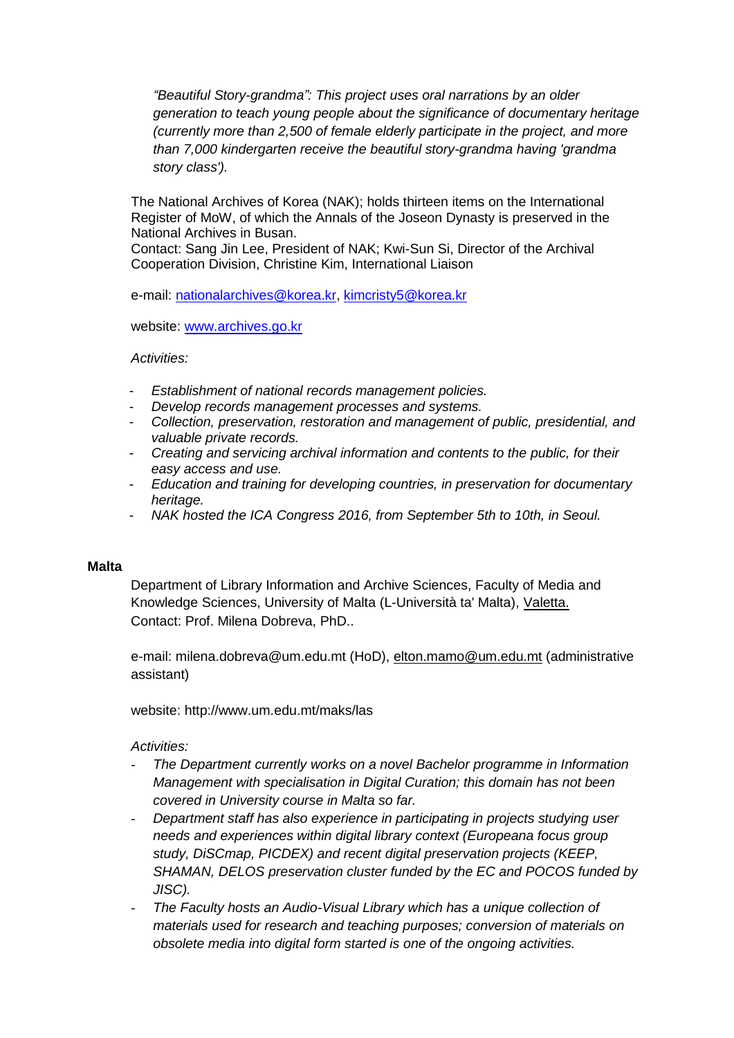*"Beautiful Story-grandma": This project uses oral narrations by an older generation to teach young people about the significance of documentary heritage (currently more than 2,500 of female elderly participate in the project, and more than 7,000 kindergarten receive the beautiful story-grandma having 'grandma story class').*

The National Archives of Korea (NAK); holds thirteen items on the International Register of MoW, of which the Annals of the Joseon Dynasty is preserved in the National Archives in Busan.

Contact: Sang Jin Lee, President of NAK; Kwi-Sun Si, Director of the Archival Cooperation Division, Christine Kim, International Liaison

e-mail: [nationalarchives@korea.kr,](mailto:nationalarchives@korea.kr) [kimcristy5@korea.kr](mailto:kimcristy5@korea.kr)

website: [www.archives.go.kr](https://deref-gmx.net/mail/client/ZPyIcISWQZk/dereferrer/?redirectUrl=http%3A%2F%2Fwww.archives.go.kr)

*Activities:*

- *Establishment of national records management policies.*
- *Develop records management processes and systems.*
- *Collection, preservation, restoration and management of public, presidential, and valuable private records.*
- *Creating and servicing archival information and contents to the public, for their easy access and use.*
- *Education and training for developing countries, in preservation for documentary heritage.*
- *NAK hosted the ICA Congress 2016, from September 5th to 10th, in Seoul.*

#### **Malta**

Department of Library Information and Archive Sciences, Faculty of Media and Knowledge Sciences, University of Malta (L-Università ta' Malta), Valetta. Contact: Prof. Milena Dobreva, PhD..

e-mail: milena.dobreva@um.edu.mt (HoD), [elton.mamo@um.edu.mt](mailto:elton.mamo@um.edu.mt) (administrative assistant)

website: http://www.um.edu.mt/maks/las

- *The Department currently works on a novel Bachelor programme in Information Management with specialisation in Digital Curation; this domain has not been covered in University course in Malta so far.*
- *Department staff has also experience in participating in projects studying user needs and experiences within digital library context (Europeana focus group study, DiSCmap, PICDEX) and recent digital preservation projects (KEEP, SHAMAN, DELOS preservation cluster funded by the EC and POCOS funded by JISC).*
- *The Faculty hosts an Audio-Visual Library which has a unique collection of materials used for research and teaching purposes; conversion of materials on obsolete media into digital form started is one of the ongoing activities.*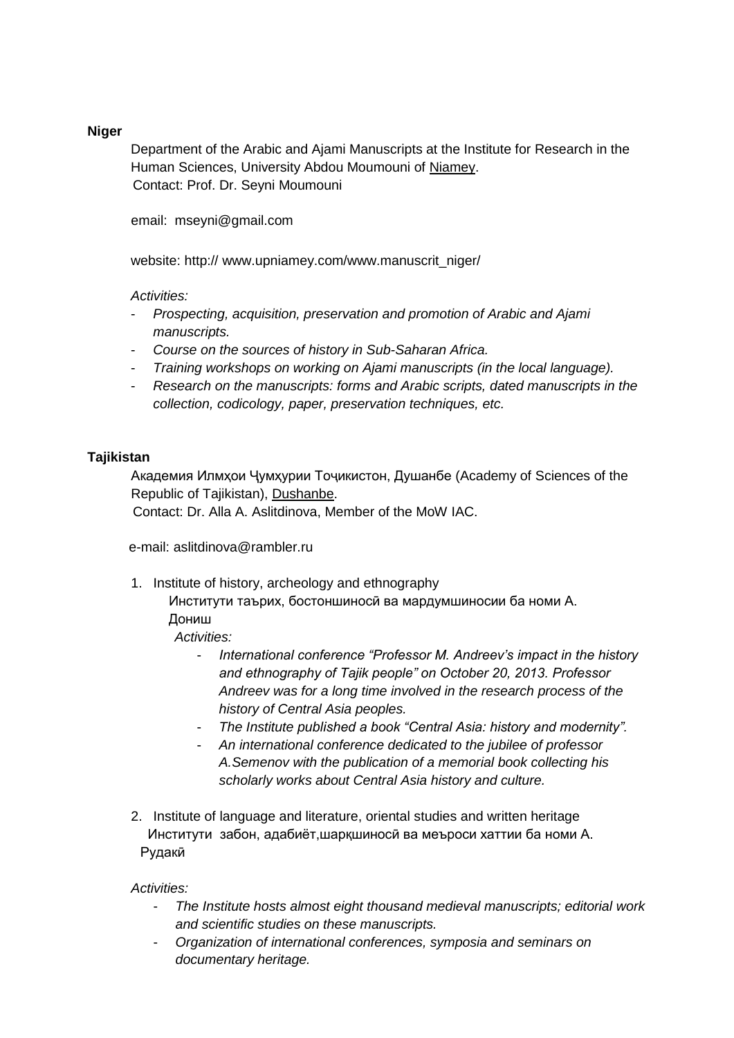# **Niger**

Department of the Arabic and Ajami Manuscripts at the Institute for Research in the Human Sciences, University Abdou Moumouni of Niamey. Contact: Prof. Dr. Seyni Moumouni

email: mseyni@gmail.com

website: http:// www.upniamey.com/www.manuscrit\_niger/

### *Activities:*

- *Prospecting, acquisition, preservation and promotion of Arabic and Ajami manuscripts.*
- *Course on the sources of history in Sub-Saharan Africa.*
- *Training workshops on working on Ajami manuscripts (in the local language).*
- *Research on the manuscripts: forms and Arabic scripts, dated manuscripts in the collection, codicology, paper, preservation techniques, etc.*

### **Tajikistan**

Академия Илмҳои Ҷумҳурии Тоҷикистон, Душанбе (Academy of Sciences of the Republic of Tajikistan), Dushanbe.

Contact: Dr. Alla A. Aslitdinova, Member of the MoW IAC.

e-mail: aslitdinova@rambler.ru

1. Institute of history, archeology and ethnography

Институти таърих, бостоншиносй ва мардумшиносии ба номи А. Дониш

*Activities:* 

- *International conference "Professor M. Andreev's impact in the history and ethnography of Tajik people" on October 20, 2013. Professor Andreev was for a long time involved in the research process of the history of Central Asia peoples.*
- *The Institute published a book "Central Asia: history and modernity".*
- *An international conference dedicated to the jubilee of professor A.Semenov with the publication of a memorial book collecting his scholarly works about Central Asia history and culture.*
- 2. Institute of language and literature, oriental studies and written heritage Институти забон, адабиёт,шарқшиносӣ ва меъроси хаттии ба номи А. Рудакӣ

- *The Institute hosts almost eight thousand medieval manuscripts; editorial work and scientific studies on these manuscripts.*
- *Organization of international conferences, symposia and seminars on documentary heritage.*